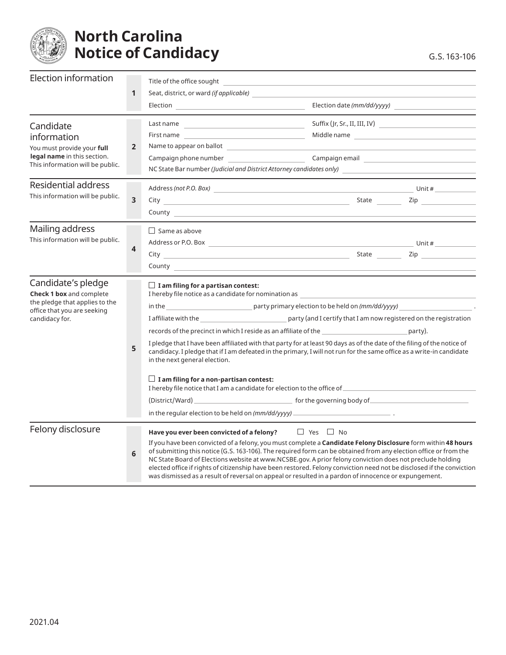

## **North Carolina Notice of Candidacy** G.S. 163-106

| Election information                                                                                                      |                         | Title of the office sought                                                                                                                                                                                                                                                                                                            |                                                                                                                       |                               |
|---------------------------------------------------------------------------------------------------------------------------|-------------------------|---------------------------------------------------------------------------------------------------------------------------------------------------------------------------------------------------------------------------------------------------------------------------------------------------------------------------------------|-----------------------------------------------------------------------------------------------------------------------|-------------------------------|
|                                                                                                                           | $\mathbf{1}$            |                                                                                                                                                                                                                                                                                                                                       |                                                                                                                       |                               |
|                                                                                                                           |                         |                                                                                                                                                                                                                                                                                                                                       |                                                                                                                       |                               |
| Candidate<br>information<br>You must provide your full<br>legal name in this section.<br>This information will be public. | $\overline{2}$          |                                                                                                                                                                                                                                                                                                                                       |                                                                                                                       | Suffix (Jr, Sr., II, III, IV) |
|                                                                                                                           |                         |                                                                                                                                                                                                                                                                                                                                       |                                                                                                                       |                               |
|                                                                                                                           |                         |                                                                                                                                                                                                                                                                                                                                       |                                                                                                                       |                               |
|                                                                                                                           |                         |                                                                                                                                                                                                                                                                                                                                       |                                                                                                                       |                               |
|                                                                                                                           |                         | NC State Bar number (Judicial and District Attorney candidates only) [19] [20] [20] [20] [20] [20] [20] [20] [                                                                                                                                                                                                                        |                                                                                                                       |                               |
| Residential address                                                                                                       |                         |                                                                                                                                                                                                                                                                                                                                       |                                                                                                                       |                               |
| This information will be public.                                                                                          | $\overline{\mathbf{3}}$ |                                                                                                                                                                                                                                                                                                                                       |                                                                                                                       |                               |
|                                                                                                                           |                         |                                                                                                                                                                                                                                                                                                                                       |                                                                                                                       |                               |
| Mailing address<br>This information will be public.                                                                       |                         | $\Box$ Same as above                                                                                                                                                                                                                                                                                                                  |                                                                                                                       |                               |
|                                                                                                                           |                         |                                                                                                                                                                                                                                                                                                                                       |                                                                                                                       |                               |
|                                                                                                                           | $\overline{\mathbf{4}}$ |                                                                                                                                                                                                                                                                                                                                       |                                                                                                                       |                               |
|                                                                                                                           |                         |                                                                                                                                                                                                                                                                                                                                       |                                                                                                                       |                               |
| Candidate's pledge<br>Check 1 box and complete<br>the pledge that applies to the<br>office that you are seeking           |                         | $\Box$ I am filing for a partisan contest:<br>I hereby file notice as a candidate for nomination as the control of the control of the control of the control of the control of the control of the control of the control of the control of the control of the control of the                                                          |                                                                                                                       |                               |
|                                                                                                                           |                         |                                                                                                                                                                                                                                                                                                                                       |                                                                                                                       |                               |
|                                                                                                                           |                         | I affiliate with the series and service of the service of the service of the registration                                                                                                                                                                                                                                             |                                                                                                                       |                               |
| candidacy for.                                                                                                            |                         |                                                                                                                                                                                                                                                                                                                                       |                                                                                                                       |                               |
|                                                                                                                           |                         |                                                                                                                                                                                                                                                                                                                                       |                                                                                                                       |                               |
|                                                                                                                           | 5                       | I pledge that I have been affiliated with that party for at least 90 days as of the date of the filing of the notice of<br>candidacy. I pledge that if I am defeated in the primary, I will not run for the same office as a write-in candidate<br>in the next general election.                                                      |                                                                                                                       |                               |
|                                                                                                                           |                         | $\Box$ I am filing for a non-partisan contest:<br>I hereby file notice that I am a candidate for election to the office of <b>Exercísies</b> and the set of the set of the set of the set of the set of the set of the set of the set of the set of the set of the set of the set of                                                  |                                                                                                                       |                               |
|                                                                                                                           |                         |                                                                                                                                                                                                                                                                                                                                       |                                                                                                                       |                               |
|                                                                                                                           |                         |                                                                                                                                                                                                                                                                                                                                       |                                                                                                                       |                               |
| Felony disclosure                                                                                                         |                         | Have you ever been convicted of a felony? $\Box$ Yes $\Box$ No                                                                                                                                                                                                                                                                        |                                                                                                                       |                               |
|                                                                                                                           |                         | If you have been convicted of a felony, you must complete a Candidate Felony Disclosure form within 48 hours                                                                                                                                                                                                                          |                                                                                                                       |                               |
|                                                                                                                           | 6                       | of submitting this notice (G.S. 163-106). The required form can be obtained from any election office or from the<br>NC State Board of Elections website at www.NCSBE.gov. A prior felony conviction does not preclude holding<br>was dismissed as a result of reversal on appeal or resulted in a pardon of innocence or expungement. | elected office if rights of citizenship have been restored. Felony conviction need not be disclosed if the conviction |                               |